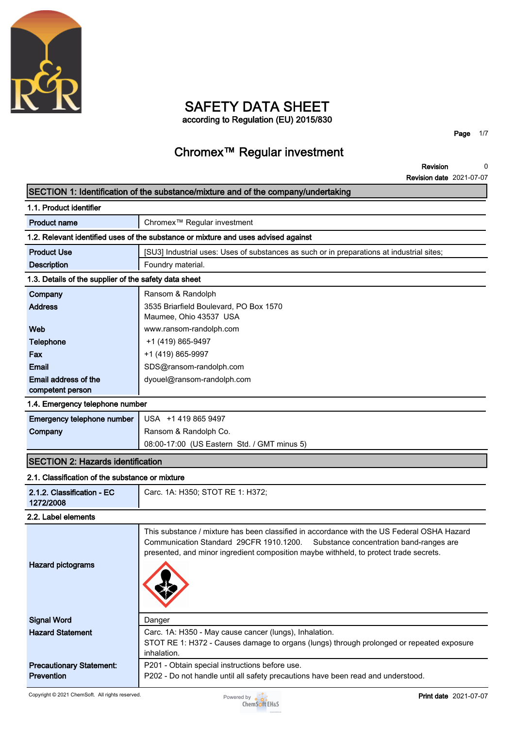

### **SAFETY DATA SHEET according to Regulation (EU) 2015/830**

**Page 1/7**

### **Chromex™ Regular investment**

**Revision Revision date 2021-07-07 0**

#### **SECTION 1: Identification of the substance/mixture and of the company/undertaking**

| 1.1. Product identifier                                                            |                                                                                           |  |
|------------------------------------------------------------------------------------|-------------------------------------------------------------------------------------------|--|
| <b>Product name</b>                                                                | Chromex <sup>™</sup> Regular investment                                                   |  |
| 1.2. Relevant identified uses of the substance or mixture and uses advised against |                                                                                           |  |
| <b>Product Use</b>                                                                 | [SU3] Industrial uses: Uses of substances as such or in preparations at industrial sites; |  |
| <b>Description</b>                                                                 | Foundry material.                                                                         |  |
| 1.3. Details of the supplier of the safety data sheet                              |                                                                                           |  |
| Company                                                                            | Ransom & Randolph                                                                         |  |
| <b>Address</b>                                                                     | 3535 Briarfield Boulevard, PO Box 1570                                                    |  |
|                                                                                    | Maumee, Ohio 43537 USA                                                                    |  |
| <b>Web</b>                                                                         | www.ransom-randolph.com                                                                   |  |
| <b>Telephone</b>                                                                   | +1 (419) 865-9497                                                                         |  |
| Fax                                                                                | +1 (419) 865-9997                                                                         |  |
| Email                                                                              | SDS@ransom-randolph.com                                                                   |  |
| Email address of the                                                               | dyouel@ransom-randolph.com                                                                |  |
| competent person                                                                   |                                                                                           |  |
| 1.4. Emergency telephone number                                                    |                                                                                           |  |

| Emergency telephone number   USA +1 419 865 9497 |                                             |  |
|--------------------------------------------------|---------------------------------------------|--|
| Company                                          | Ransom & Randolph Co.                       |  |
|                                                  | 08:00-17:00 (US Eastern Std. / GMT minus 5) |  |

#### **SECTION 2: Hazards identification**

| 2.1. Classification of the substance or mixture      |                                                                                                                                                                                                                                                                        |
|------------------------------------------------------|------------------------------------------------------------------------------------------------------------------------------------------------------------------------------------------------------------------------------------------------------------------------|
| 2.1.2. Classification - EC<br>1272/2008              | Carc. 1A: H350; STOT RE 1: H372;                                                                                                                                                                                                                                       |
| 2.2. Label elements                                  |                                                                                                                                                                                                                                                                        |
| <b>Hazard pictograms</b>                             | This substance / mixture has been classified in accordance with the US Federal OSHA Hazard<br>Communication Standard 29CFR 1910.1200. Substance concentration band-ranges are<br>presented, and minor ingredient composition maybe withheld, to protect trade secrets. |
| <b>Signal Word</b>                                   | Danger                                                                                                                                                                                                                                                                 |
| <b>Hazard Statement</b>                              | Carc. 1A: H350 - May cause cancer (lungs), Inhalation.<br>STOT RE 1: H372 - Causes damage to organs (lungs) through prolonged or repeated exposure<br>inhalation.                                                                                                      |
| <b>Precautionary Statement:</b><br><b>Prevention</b> | P201 - Obtain special instructions before use.<br>P202 - Do not handle until all safety precautions have been read and understood.                                                                                                                                     |

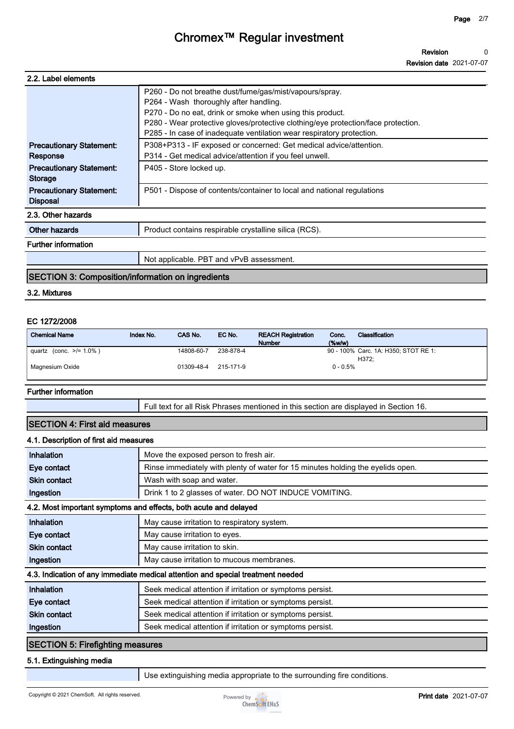| 2.2. Label elements                                |                                                                                                                                                                                                                                                                                                                              |
|----------------------------------------------------|------------------------------------------------------------------------------------------------------------------------------------------------------------------------------------------------------------------------------------------------------------------------------------------------------------------------------|
|                                                    | P260 - Do not breathe dust/fume/gas/mist/vapours/spray.<br>P264 - Wash thoroughly after handling.<br>P270 - Do no eat, drink or smoke when using this product.<br>P280 - Wear protective gloves/protective clothing/eye protection/face protection.<br>P285 - In case of inadequate ventilation wear respiratory protection. |
| <b>Precautionary Statement:</b><br>Response        | P308+P313 - IF exposed or concerned: Get medical advice/attention.<br>P314 - Get medical advice/attention if you feel unwell.                                                                                                                                                                                                |
| <b>Precautionary Statement:</b><br>Storage         | P405 - Store locked up.                                                                                                                                                                                                                                                                                                      |
| <b>Precautionary Statement:</b><br><b>Disposal</b> | P501 - Dispose of contents/container to local and national regulations                                                                                                                                                                                                                                                       |
| 2.3. Other hazards                                 |                                                                                                                                                                                                                                                                                                                              |
| Other hazards                                      | Product contains respirable crystalline silica (RCS).                                                                                                                                                                                                                                                                        |
| <b>Further information</b>                         |                                                                                                                                                                                                                                                                                                                              |
|                                                    | Not applicable. PBT and vPvB assessment.                                                                                                                                                                                                                                                                                     |

#### **SECTION 3: Composition/information on ingredients**

#### **3.2. Mixtures**

#### **EC 1272/2008**

| <b>Chemical Name</b>     | Index No. | CAS No.    | EC No.    | <b>REACH Registration</b><br><b>Number</b> | Conc.<br>$(\%w/w)$ | Classification                       |
|--------------------------|-----------|------------|-----------|--------------------------------------------|--------------------|--------------------------------------|
| quartz (conc. $>1.0\%$ ) |           | 14808-60-7 | 238-878-4 |                                            |                    | 90 - 100% Carc. 1A: H350; STOT RE 1: |
|                          |           |            |           |                                            |                    | H372:                                |
| Magnesium Oxide          |           | 01309-48-4 | 215-171-9 |                                            | $0 - 0.5%$         |                                      |
|                          |           |            |           |                                            |                    |                                      |

#### **Further information**

**Full text for all Risk Phrases mentioned in this section are displayed in Section 16.**

#### **SECTION 4: First aid measures**

| 4.1. Description of first aid measures                                          |                                                                                 |  |  |
|---------------------------------------------------------------------------------|---------------------------------------------------------------------------------|--|--|
| Inhalation                                                                      | Move the exposed person to fresh air.                                           |  |  |
| Eye contact                                                                     | Rinse immediately with plenty of water for 15 minutes holding the eyelids open. |  |  |
| <b>Skin contact</b>                                                             | Wash with soap and water.                                                       |  |  |
| Ingestion                                                                       | Drink 1 to 2 glasses of water. DO NOT INDUCE VOMITING.                          |  |  |
| 4.2. Most important symptoms and effects, both acute and delayed                |                                                                                 |  |  |
| Inhalation                                                                      | May cause irritation to respiratory system.                                     |  |  |
| Eye contact                                                                     | May cause irritation to eyes.                                                   |  |  |
| <b>Skin contact</b>                                                             | May cause irritation to skin.                                                   |  |  |
| Ingestion                                                                       | May cause irritation to mucous membranes.                                       |  |  |
| 4.3. Indication of any immediate medical attention and special treatment needed |                                                                                 |  |  |
| Inhalation                                                                      | Seek medical attention if irritation or symptoms persist.                       |  |  |
| Eye contact                                                                     | Seek medical attention if irritation or symptoms persist.                       |  |  |
| <b>Skin contact</b>                                                             | Seek medical attention if irritation or symptoms persist.                       |  |  |
| Ingestion                                                                       | Seek medical attention if irritation or symptoms persist.                       |  |  |
| <b>SECTION 5: Firefighting measures</b>                                         |                                                                                 |  |  |

#### **5.1. Extinguishing media**

**Use extinguishing media appropriate to the surrounding fire conditions.**

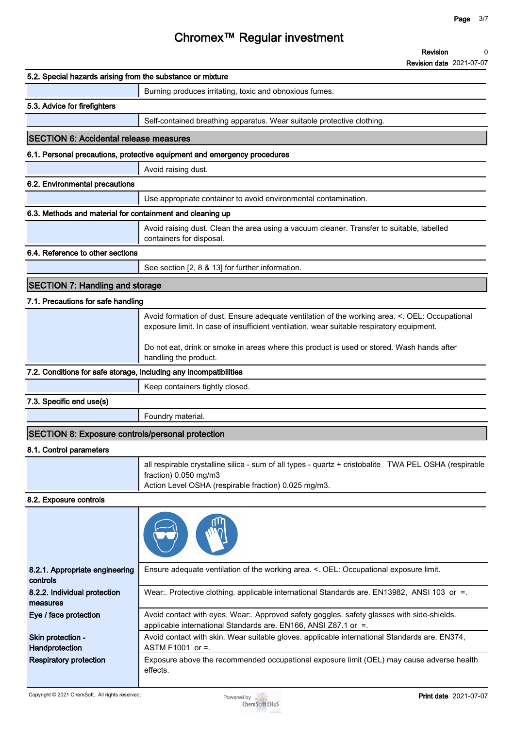|                                                                   | <b>Revision date 2021-07-07</b>                                                                                                                                                             |
|-------------------------------------------------------------------|---------------------------------------------------------------------------------------------------------------------------------------------------------------------------------------------|
| 5.2. Special hazards arising from the substance or mixture        |                                                                                                                                                                                             |
|                                                                   | Burning produces irritating, toxic and obnoxious fumes.                                                                                                                                     |
| 5.3. Advice for firefighters                                      |                                                                                                                                                                                             |
|                                                                   | Self-contained breathing apparatus. Wear suitable protective clothing.                                                                                                                      |
| <b>SECTION 6: Accidental release measures</b>                     |                                                                                                                                                                                             |
|                                                                   | 6.1. Personal precautions, protective equipment and emergency procedures                                                                                                                    |
|                                                                   | Avoid raising dust.                                                                                                                                                                         |
| 6.2. Environmental precautions                                    |                                                                                                                                                                                             |
|                                                                   | Use appropriate container to avoid environmental contamination.                                                                                                                             |
| 6.3. Methods and material for containment and cleaning up         |                                                                                                                                                                                             |
|                                                                   | Avoid raising dust. Clean the area using a vacuum cleaner. Transfer to suitable, labelled<br>containers for disposal.                                                                       |
| 6.4. Reference to other sections                                  |                                                                                                                                                                                             |
|                                                                   | See section [2, 8 & 13] for further information.                                                                                                                                            |
| <b>SECTION 7: Handling and storage</b>                            |                                                                                                                                                                                             |
| 7.1. Precautions for safe handling                                |                                                                                                                                                                                             |
|                                                                   | Avoid formation of dust. Ensure adequate ventilation of the working area. <. OEL: Occupational<br>exposure limit. In case of insufficient ventilation, wear suitable respiratory equipment. |
|                                                                   | Do not eat, drink or smoke in areas where this product is used or stored. Wash hands after<br>handling the product.                                                                         |
| 7.2. Conditions for safe storage, including any incompatibilities |                                                                                                                                                                                             |
|                                                                   | Keep containers tightly closed.                                                                                                                                                             |
| 7.3. Specific end use(s)                                          |                                                                                                                                                                                             |
|                                                                   | Foundry material.                                                                                                                                                                           |
| <b>SECTION 8: Exposure controls/personal protection</b>           |                                                                                                                                                                                             |
| 8.1. Control parameters                                           |                                                                                                                                                                                             |
|                                                                   | all respirable crystalline silica - sum of all types - quartz + cristobalite TWA PEL OSHA (respirable<br>fraction) 0.050 mg/m3<br>Action Level OSHA (respirable fraction) 0.025 mg/m3.      |
| 8.2. Exposure controls                                            |                                                                                                                                                                                             |
|                                                                   |                                                                                                                                                                                             |
| 8.2.1. Appropriate engineering<br>controls                        | Ensure adequate ventilation of the working area. <. OEL: Occupational exposure limit.                                                                                                       |
| 8.2.2. Individual protection<br>measures                          | Wear:. Protective clothing. applicable international Standards are. EN13982, ANSI 103 or =.                                                                                                 |
| Eye / face protection                                             | Avoid contact with eyes. Wear:. Approved safety goggles. safety glasses with side-shields.<br>applicable international Standards are. EN166, ANSI Z87.1 or =.                               |
| Skin protection -<br>Handprotection                               | Avoid contact with skin. Wear suitable gloves. applicable international Standards are. EN374,<br>ASTM F1001 or =.                                                                           |

**Respiratory protection Exposure above the recommended occupational exposure limit (OEL) may cause adverse health effects.**

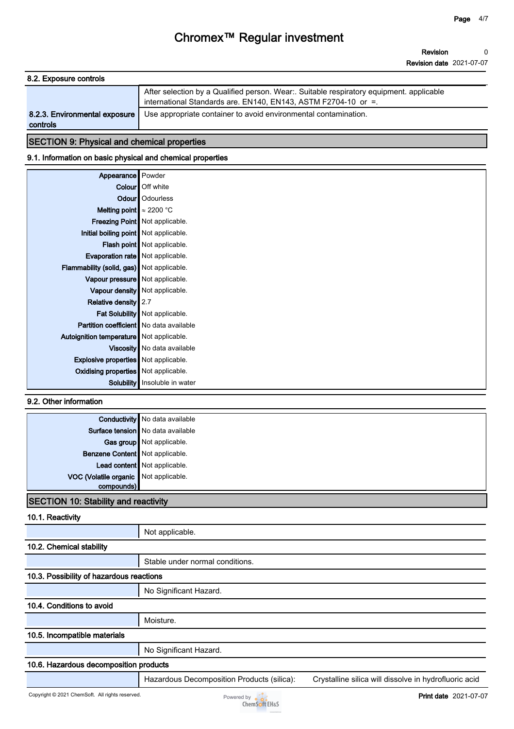| 8.2. Exposure controls        |                                                                                                                                                           |
|-------------------------------|-----------------------------------------------------------------------------------------------------------------------------------------------------------|
|                               | After selection by a Qualified person. Wear: Suitable respiratory equipment. applicable<br>international Standards are. EN140, EN143, ASTM F2704-10 or =. |
|                               |                                                                                                                                                           |
| 8.2.3. Environmental exposure | Use appropriate container to avoid environmental contamination.                                                                                           |
| controls                      |                                                                                                                                                           |

### **SECTION 9: Physical and chemical properties**

#### **9.1. Information on basic physical and chemical properties**

| Appearance Powder                              |                                  |
|------------------------------------------------|----------------------------------|
|                                                | <b>Colour</b> Off white          |
|                                                | <b>Odour</b>   Odourless         |
| Melting point $\approx 2200$ °C                |                                  |
|                                                | Freezing Point   Not applicable. |
| Initial boiling point Not applicable.          |                                  |
|                                                | Flash point   Not applicable.    |
| Evaporation rate   Not applicable.             |                                  |
| Flammability (solid, gas) Not applicable.      |                                  |
| Vapour pressure Not applicable.                |                                  |
|                                                | Vapour density   Not applicable. |
| Relative density 2.7                           |                                  |
|                                                | Fat Solubility Not applicable.   |
| <b>Partition coefficient</b> No data available |                                  |
| Autoignition temperature   Not applicable.     |                                  |
|                                                | Viscosity   No data available    |
| <b>Explosive properties</b> Not applicable.    |                                  |
| Oxidising properties   Not applicable.         |                                  |
| Solubility                                     | Insoluble in water               |

#### **9.2. Other information**

|                                       | <b>Conductivity</b> No data available |  |
|---------------------------------------|---------------------------------------|--|
|                                       | Surface tension   No data available   |  |
|                                       | Gas group Not applicable.             |  |
| Benzene Content Not applicable.       |                                       |  |
|                                       | Lead content Not applicable.          |  |
| VOC (Volatile organic Not applicable. |                                       |  |
| compounds)                            |                                       |  |
| 10 <b>POTION 40 OLIUM</b> 1 U.M.      |                                       |  |

#### **SECTION 10: Stability and reactivity**

#### **10.1. Reactivity**

|                                          | Not applicable.                            |                                                       |  |
|------------------------------------------|--------------------------------------------|-------------------------------------------------------|--|
| 10.2. Chemical stability                 |                                            |                                                       |  |
|                                          | Stable under normal conditions.            |                                                       |  |
| 10.3. Possibility of hazardous reactions |                                            |                                                       |  |
|                                          | No Significant Hazard.                     |                                                       |  |
| 10.4. Conditions to avoid                |                                            |                                                       |  |
|                                          | Moisture.                                  |                                                       |  |
| 10.5. Incompatible materials             |                                            |                                                       |  |
|                                          | No Significant Hazard.                     |                                                       |  |
| 10.6. Hazardous decomposition products   |                                            |                                                       |  |
|                                          | Hazardous Decomposition Products (silica): | Crystalline silica will dissolve in hydrofluoric acid |  |

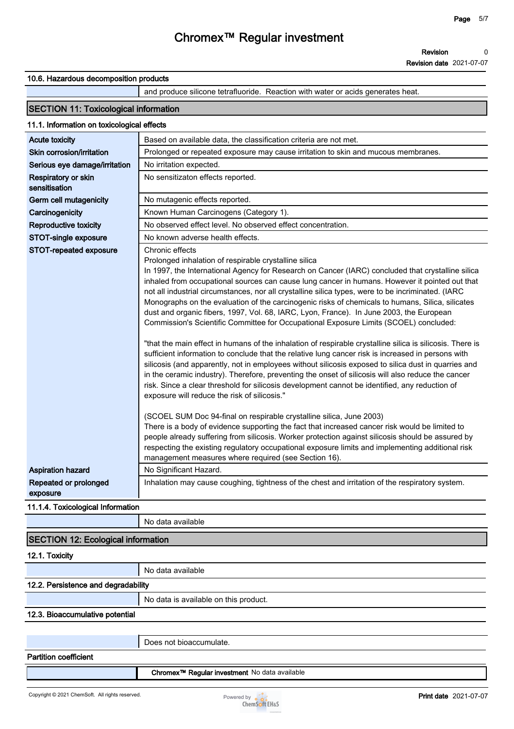**Revision date 2021-07-07**

#### **10.6. Hazardous decomposition products**

**and produce silicone tetrafluoride. Reaction with water or acids generates heat.**

#### **SECTION 11: Toxicological information**

#### **11.1. Information on toxicological effects**

| Based on available data, the classification criteria are not met.                                                                                                                                                                                                                                                                                                                                                                                                                                                                                                                                                                                                                                                                                                                                                                                                                                                                                                                                                                                                                                                                                                                                                                             |
|-----------------------------------------------------------------------------------------------------------------------------------------------------------------------------------------------------------------------------------------------------------------------------------------------------------------------------------------------------------------------------------------------------------------------------------------------------------------------------------------------------------------------------------------------------------------------------------------------------------------------------------------------------------------------------------------------------------------------------------------------------------------------------------------------------------------------------------------------------------------------------------------------------------------------------------------------------------------------------------------------------------------------------------------------------------------------------------------------------------------------------------------------------------------------------------------------------------------------------------------------|
| Prolonged or repeated exposure may cause irritation to skin and mucous membranes.                                                                                                                                                                                                                                                                                                                                                                                                                                                                                                                                                                                                                                                                                                                                                                                                                                                                                                                                                                                                                                                                                                                                                             |
| No irritation expected.                                                                                                                                                                                                                                                                                                                                                                                                                                                                                                                                                                                                                                                                                                                                                                                                                                                                                                                                                                                                                                                                                                                                                                                                                       |
| No sensitizaton effects reported.                                                                                                                                                                                                                                                                                                                                                                                                                                                                                                                                                                                                                                                                                                                                                                                                                                                                                                                                                                                                                                                                                                                                                                                                             |
| No mutagenic effects reported.                                                                                                                                                                                                                                                                                                                                                                                                                                                                                                                                                                                                                                                                                                                                                                                                                                                                                                                                                                                                                                                                                                                                                                                                                |
| Known Human Carcinogens (Category 1).                                                                                                                                                                                                                                                                                                                                                                                                                                                                                                                                                                                                                                                                                                                                                                                                                                                                                                                                                                                                                                                                                                                                                                                                         |
| No observed effect level. No observed effect concentration.                                                                                                                                                                                                                                                                                                                                                                                                                                                                                                                                                                                                                                                                                                                                                                                                                                                                                                                                                                                                                                                                                                                                                                                   |
| No known adverse health effects.                                                                                                                                                                                                                                                                                                                                                                                                                                                                                                                                                                                                                                                                                                                                                                                                                                                                                                                                                                                                                                                                                                                                                                                                              |
| Prolonged inhalation of respirable crystalline silica<br>In 1997, the International Agency for Research on Cancer (IARC) concluded that crystalline silica<br>inhaled from occupational sources can cause lung cancer in humans. However it pointed out that<br>not all industrial circumstances, nor all crystalline silica types, were to be incriminated. (IARC<br>Monographs on the evaluation of the carcinogenic risks of chemicals to humans, Silica, silicates<br>dust and organic fibers, 1997, Vol. 68, IARC, Lyon, France). In June 2003, the European<br>Commission's Scientific Committee for Occupational Exposure Limits (SCOEL) concluded:<br>"that the main effect in humans of the inhalation of respirable crystalline silica is silicosis. There is<br>sufficient information to conclude that the relative lung cancer risk is increased in persons with<br>silicosis (and apparently, not in employees without silicosis exposed to silica dust in quarries and<br>in the ceramic industry). Therefore, preventing the onset of silicosis will also reduce the cancer<br>risk. Since a clear threshold for silicosis development cannot be identified, any reduction of<br>exposure will reduce the risk of silicosis." |
| (SCOEL SUM Doc 94-final on respirable crystalline silica, June 2003)<br>There is a body of evidence supporting the fact that increased cancer risk would be limited to<br>people already suffering from silicosis. Worker protection against silicosis should be assured by<br>respecting the existing regulatory occupational exposure limits and implementing additional risk<br>management measures where required (see Section 16).                                                                                                                                                                                                                                                                                                                                                                                                                                                                                                                                                                                                                                                                                                                                                                                                       |
| No Significant Hazard.                                                                                                                                                                                                                                                                                                                                                                                                                                                                                                                                                                                                                                                                                                                                                                                                                                                                                                                                                                                                                                                                                                                                                                                                                        |
| Inhalation may cause coughing, tightness of the chest and irritation of the respiratory system.                                                                                                                                                                                                                                                                                                                                                                                                                                                                                                                                                                                                                                                                                                                                                                                                                                                                                                                                                                                                                                                                                                                                               |
|                                                                                                                                                                                                                                                                                                                                                                                                                                                                                                                                                                                                                                                                                                                                                                                                                                                                                                                                                                                                                                                                                                                                                                                                                                               |

**11.1.4. Toxicological Information**

**No data available**

#### **SECTION 12: Ecological information**

#### **12.1. Toxicity**

|                                     | No data available                     |  |
|-------------------------------------|---------------------------------------|--|
| 12.2. Persistence and degradability |                                       |  |
|                                     | No data is available on this product. |  |
| 12.3. Bioaccumulative potential     |                                       |  |
|                                     |                                       |  |
|                                     | Does not bioaccumulate.               |  |
| <b>Partition coefficient</b>        |                                       |  |

**Chromex™ Regular investment No data available**

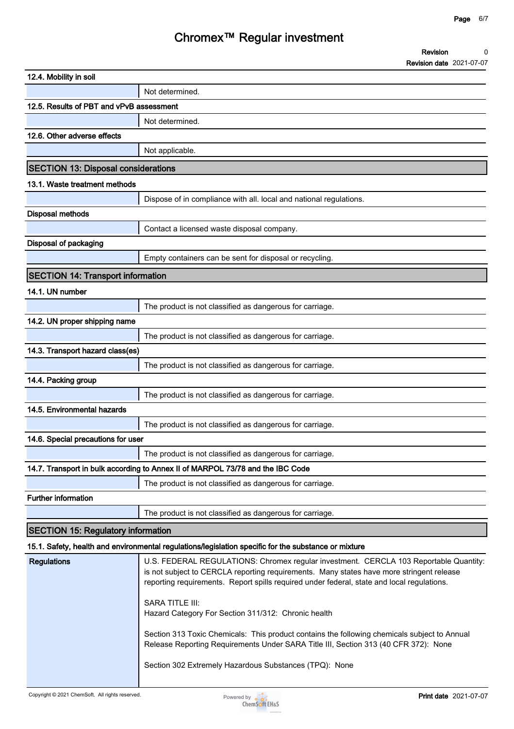|                                            | nyyum mwonnoni                                                     |                                 |
|--------------------------------------------|--------------------------------------------------------------------|---------------------------------|
|                                            |                                                                    | <b>Revision</b><br>0            |
|                                            |                                                                    | <b>Revision date 2021-07-07</b> |
| 12.4. Mobility in soil                     |                                                                    |                                 |
|                                            | Not determined.                                                    |                                 |
| 12.5. Results of PBT and vPvB assessment   |                                                                    |                                 |
|                                            | Not determined.                                                    |                                 |
| 12.6. Other adverse effects                |                                                                    |                                 |
|                                            | Not applicable.                                                    |                                 |
| <b>SECTION 13: Disposal considerations</b> |                                                                    |                                 |
| 13.1. Waste treatment methods              |                                                                    |                                 |
|                                            | Dispose of in compliance with all. local and national regulations. |                                 |
| <b>Disposal methods</b>                    |                                                                    |                                 |
|                                            | Contact a licensed waste disposal company.                         |                                 |
| Disposal of packaging                      |                                                                    |                                 |
|                                            | Empty containers can be sent for disposal or recycling.            |                                 |
| <b>SECTION 14: Transport information</b>   |                                                                    |                                 |
| 14.1. UN number                            |                                                                    |                                 |
|                                            | The product is not classified as dangerous for carriage.           |                                 |
| 14.2. UN proper shipping name              |                                                                    |                                 |
|                                            | The product is not classified as dangerous for carriage.           |                                 |
| 14.3. Transport hazard class(es)           |                                                                    |                                 |
|                                            | The product is not classified as dangerous for carriage.           |                                 |
| 14.4. Packing group                        |                                                                    |                                 |
|                                            | The product is not classified as dangerous for carriage.           |                                 |
| 14.5. Environmental hazards                |                                                                    |                                 |
|                                            | The product is not classified as dangerous for carriage.           |                                 |
| 14.6. Special precautions for user         |                                                                    |                                 |
|                                            | The product is not classified as dangerous for carriage.           |                                 |

#### **14.7. Transport in bulk according to Annex II of MARPOL 73/78 and the IBC Code**

**The product is not classified as dangerous for carriage.**

#### **Further information**

**The product is not classified as dangerous for carriage.**

#### **SECTION 15: Regulatory information**

#### **15.1. Safety, health and environmental regulations/legislation specific for the substance or mixture**

| Regulations | U.S. FEDERAL REGULATIONS: Chromex regular investment. CERCLA 103 Reportable Quantity:<br>is not subject to CERCLA reporting requirements. Many states have more stringent release<br>reporting requirements. Report spills required under federal, state and local regulations. |
|-------------|---------------------------------------------------------------------------------------------------------------------------------------------------------------------------------------------------------------------------------------------------------------------------------|
|             | <b>SARA TITLE III:</b><br>Hazard Category For Section 311/312: Chronic health                                                                                                                                                                                                   |
|             | Section 313 Toxic Chemicals: This product contains the following chemicals subject to Annual<br>Release Reporting Requirements Under SARA Title III, Section 313 (40 CFR 372): None                                                                                             |
|             | Section 302 Extremely Hazardous Substances (TPQ): None                                                                                                                                                                                                                          |
|             |                                                                                                                                                                                                                                                                                 |